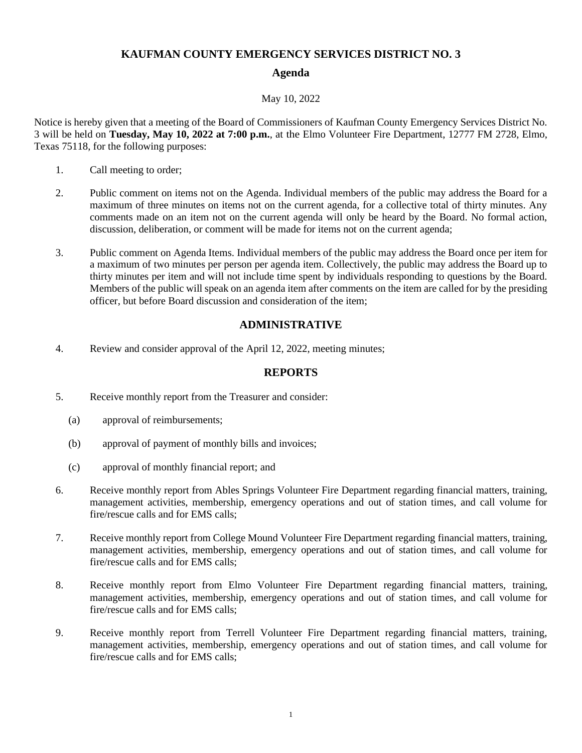# **KAUFMAN COUNTY EMERGENCY SERVICES DISTRICT NO. 3**

## **Agenda**

#### May 10, 2022

Notice is hereby given that a meeting of the Board of Commissioners of Kaufman County Emergency Services District No. 3 will be held on **Tuesday, May 10, 2022 at 7:00 p.m.**, at the Elmo Volunteer Fire Department, 12777 FM 2728, Elmo, Texas 75118, for the following purposes:

- 1. Call meeting to order;
- 2. Public comment on items not on the Agenda. Individual members of the public may address the Board for a maximum of three minutes on items not on the current agenda, for a collective total of thirty minutes. Any comments made on an item not on the current agenda will only be heard by the Board. No formal action, discussion, deliberation, or comment will be made for items not on the current agenda;
- 3. Public comment on Agenda Items. Individual members of the public may address the Board once per item for a maximum of two minutes per person per agenda item. Collectively, the public may address the Board up to thirty minutes per item and will not include time spent by individuals responding to questions by the Board. Members of the public will speak on an agenda item after comments on the item are called for by the presiding officer, but before Board discussion and consideration of the item;

## **ADMINISTRATIVE**

4. Review and consider approval of the April 12, 2022, meeting minutes;

#### **REPORTS**

- 5. Receive monthly report from the Treasurer and consider:
	- (a) approval of reimbursements;
	- (b) approval of payment of monthly bills and invoices;
	- (c) approval of monthly financial report; and
- 6. Receive monthly report from Ables Springs Volunteer Fire Department regarding financial matters, training, management activities, membership, emergency operations and out of station times, and call volume for fire/rescue calls and for EMS calls;
- 7. Receive monthly report from College Mound Volunteer Fire Department regarding financial matters, training, management activities, membership, emergency operations and out of station times, and call volume for fire/rescue calls and for EMS calls;
- 8. Receive monthly report from Elmo Volunteer Fire Department regarding financial matters, training, management activities, membership, emergency operations and out of station times, and call volume for fire/rescue calls and for EMS calls;
- 9. Receive monthly report from Terrell Volunteer Fire Department regarding financial matters, training, management activities, membership, emergency operations and out of station times, and call volume for fire/rescue calls and for EMS calls;